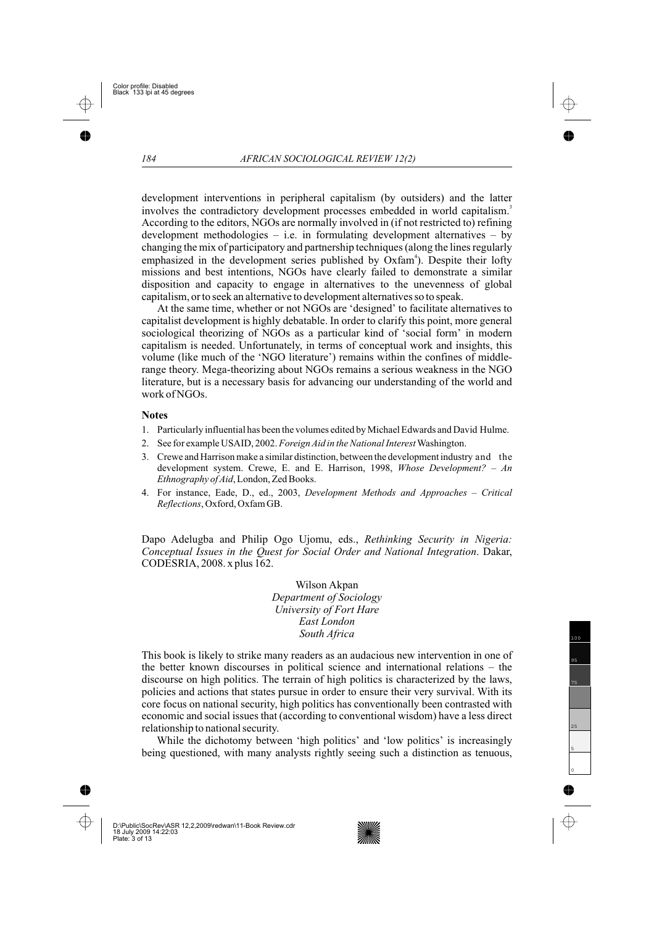Dapo Adelugba and Philip Ogo Ujomu, eds., *Rethinking Security in Nigeria:* Conceptual Issues in the Quest for Social Order and National Integration. Dakar, CODESRIA, 2008. x plus 162.

> Wilson Akpan *Department of Sociology University of Fort Hare East London South Africa*

This book is likely to strike many readers as an audacious new intervention in one of the better known discourses in political science and international relations – the discourse on high politics. The terrain of high politics is characterized by the laws, policies and actions that states pursue in order to ensure their very survival. With its core focus on national security, high politics has conventionally been contrasted with economic and social issues that (according to conventional wisdom) have a less direct relationship to national security.

While the dichotomy between 'high politics' and 'low politics' is increasingly being questioned, with many analysts rightly seeing such a distinction as tenuous,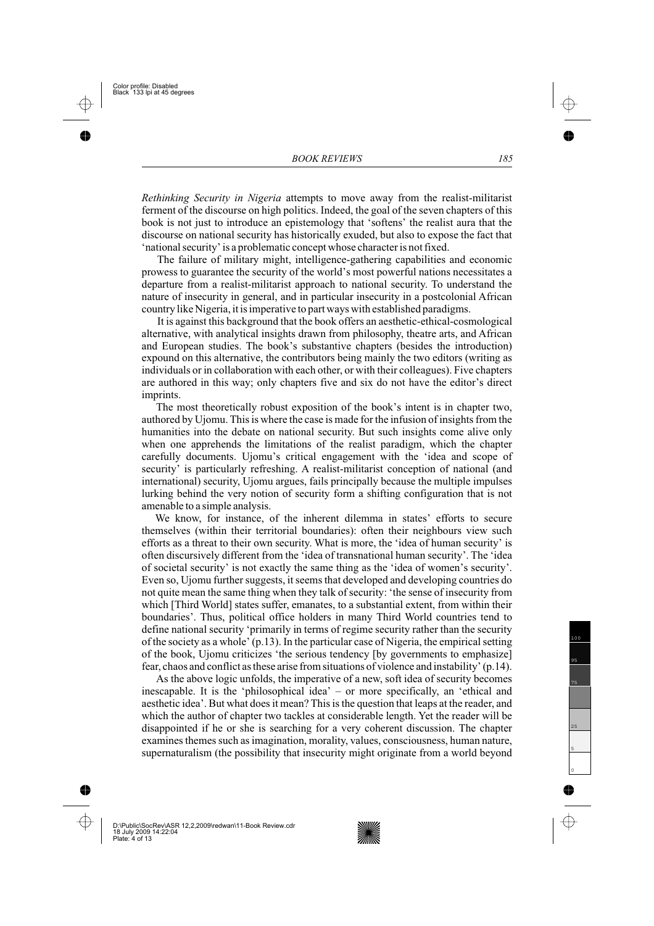*Rethinking Security in Nigeria* attempts to move away from the realist-militarist ferment of the discourse on high politics. Indeed, the goal of the seven chapters of this book is not just to introduce an epistemology that 'softens' the realist aura that the discourse on national security has historically exuded, but also to expose the fact that 'national security' is a problematic concept whose character is not fixed.

The failure of military might, intelligence-gathering capabilities and economic prowess to guarantee the security of the world's most powerful nations necessitates a departure from a realist-militarist approach to national security. To understand the nature of insecurity in general, and in particular insecurity in a postcolonial African country like Nigeria, it is imperative to part ways with established paradigms.

It is against this background that the book offers an aesthetic-ethical-cosmological alternative, with analytical insights drawn from philosophy, theatre arts, and African and European studies. The book's substantive chapters (besides the introduction) expound on this alternative, the contributors being mainly the two editors (writing as individuals or in collaboration with each other, or with their colleagues). Five chapters are authored in this way; only chapters five and six do not have the editor's direct imprints.

The most theoretically robust exposition of the book's intent is in chapter two, authored by Ujomu. This is where the case is made for the infusion of insights from the humanities into the debate on national security. But such insights come alive only when one apprehends the limitations of the realist paradigm, which the chapter carefully documents. Ujomu's critical engagement with the 'idea and scope of security' is particularly refreshing. A realist-militarist conception of national (and international) security, Ujomu argues, fails principally because the multiple impulses lurking behind the very notion of security form a shifting configuration that is not amenable to a simple analysis.

We know, for instance, of the inherent dilemma in states' efforts to secure themselves (within their territorial boundaries): often their neighbours view such efforts as a threat to their own security. What is more, the 'idea of human security' is often discursively different from the 'idea of transnational human security'. The 'idea of societal security' is not exactly the same thing as the 'idea of women's security'. Even so, Ujomu further suggests, it seems that developed and developing countries do not quite mean the same thing when they talk of security: 'the sense of insecurity from which [Third World] states suffer, emanates, to a substantial extent, from within their boundaries'. Thus, political office holders in many Third World countries tend to define national security 'primarily in terms of regime security rather than the security of the society as a whole' (p.13). In the particular case of Nigeria, the empirical setting of the book, Ujomu criticizes 'the serious tendency [by governments to emphasize] fear, chaos and conflict as these arise from situations of violence and instability' (p.14).

As the above logic unfolds, the imperative of a new, soft idea of security becomes inescapable. It is the 'philosophical idea' – or more specifically, an 'ethical and aesthetic idea'. But what does it mean? This is the question that leaps at the reader, and which the author of chapter two tackles at considerable length. Yet the reader will be disappointed if he or she is searching for a very coherent discussion. The chapter examines themes such as imagination, morality, values, consciousness, human nature, supernaturalism (the possibility that insecurity might originate from a world beyond